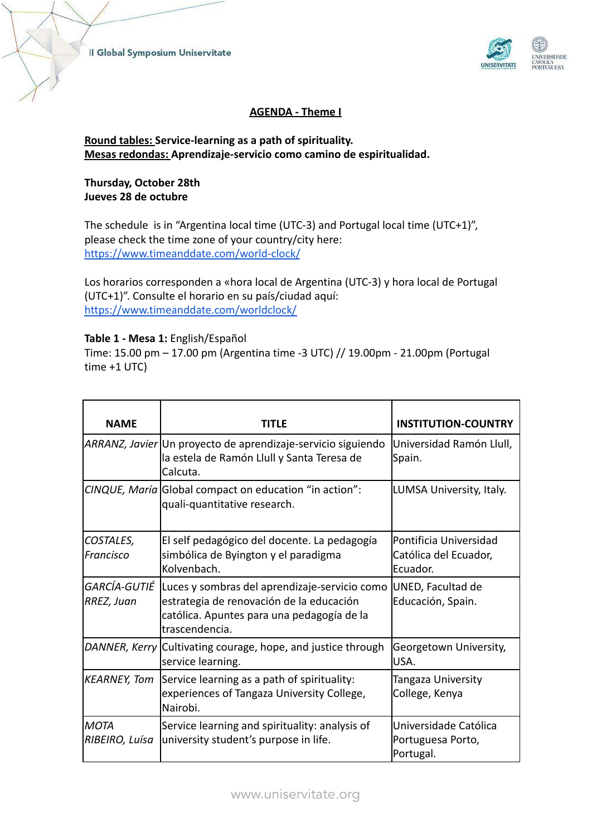

# **AGENDA - Theme I**

# **Round tables: Service-learning as a path of spirituality. Mesas redondas: Aprendizaje-servicio como camino de espiritualidad.**

### **Thursday, October 28th Jueves 28 de octubre**

The schedule is in "Argentina local time (UTC-3) and Portugal local time (UTC+1)", please check the time zone of your country/city here: <https://www.timeanddate.com/world-clock/>

Los horarios corresponden a «hora local de Argentina (UTC-3) y hora local de Portugal (UTC+1)". Consulte el horario en su país/ciudad aquí: <https://www.timeanddate.com/worldclock/>

### **Table 1 - Mesa 1:** English/Español

Time: 15.00 pm – 17.00 pm (Argentina time -3 UTC) // 19.00pm - 21.00pm (Portugal time +1 UTC)

| <b>NAME</b>                   | TITLE                                                                                                                                                                  | <b>INSTITUTION-COUNTRY</b>                                  |
|-------------------------------|------------------------------------------------------------------------------------------------------------------------------------------------------------------------|-------------------------------------------------------------|
|                               | ARRANZ, Javier Un proyecto de aprendizaje-servicio siguiendo<br>la estela de Ramón Llull y Santa Teresa de<br>Calcuta.                                                 | Universidad Ramón Llull,<br>Spain.                          |
|                               | CINQUE, María Global compact on education "in action":<br>quali-quantitative research.                                                                                 | LUMSA University, Italy.                                    |
| COSTALES,<br>Francisco        | El self pedagógico del docente. La pedagogía<br>simbólica de Byington y el paradigma<br>Kolvenbach.                                                                    | Pontificia Universidad<br>Católica del Ecuador,<br>Ecuador. |
| RREZ, Juan                    | GARCÍA-GUTIÉ Luces y sombras del aprendizaje-servicio como<br>estrategia de renovación de la educación<br>católica. Apuntes para una pedagogía de la<br>trascendencia. | UNED, Facultad de<br>Educación, Spain.                      |
|                               | DANNER, Kerry Cultivating courage, hope, and justice through<br>service learning.                                                                                      | Georgetown University,<br>USA.                              |
| <b>KEARNEY, Tom</b>           | Service learning as a path of spirituality:<br>experiences of Tangaza University College,<br>Nairobi.                                                                  | Tangaza University<br>College, Kenya                        |
| <b>MOTA</b><br>RIBEIRO, Luísa | Service learning and spirituality: analysis of<br>university student's purpose in life.                                                                                | Universidade Católica<br>Portuguesa Porto,<br>Portugal.     |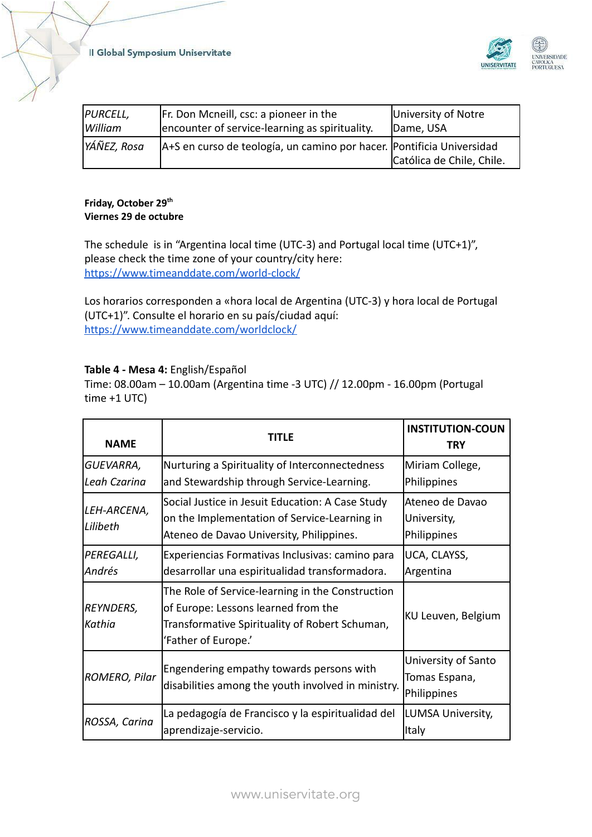Il Global Symposium Uniservitate



| PURCELL,    | Fr. Don Mcneill, csc: a pioneer in the                                 | University of Notre       |
|-------------|------------------------------------------------------------------------|---------------------------|
| l William   | encounter of service-learning as spirituality.                         | Dame, USA                 |
| YÁÑEZ, Rosa | A+S en curso de teología, un camino por hacer.  Pontificia Universidad | Católica de Chile, Chile. |

### **Friday, October 29 th Viernes 29 de octubre**

The schedule is in "Argentina local time (UTC-3) and Portugal local time (UTC+1)", please check the time zone of your country/city here: <https://www.timeanddate.com/world-clock/>

Los horarios corresponden a «hora local de Argentina (UTC-3) y hora local de Portugal (UTC+1)". Consulte el horario en su país/ciudad aquí: <https://www.timeanddate.com/worldclock/>

# **Table 4 - Mesa 4:** English/Español

Time: 08.00am – 10.00am (Argentina time -3 UTC) // 12.00pm - 16.00pm (Portugal time +1 UTC)

| <b>NAME</b>               | TITLE                                                                                                                                                            | <b>INSTITUTION-COUN</b><br><b>TRY</b>               |
|---------------------------|------------------------------------------------------------------------------------------------------------------------------------------------------------------|-----------------------------------------------------|
| GUEVARRA,<br>Leah Czarina | Nurturing a Spirituality of Interconnectedness<br>and Stewardship through Service-Learning.                                                                      | Miriam College,<br>Philippines                      |
| LEH-ARCENA,<br>Lilibeth   | Social Justice in Jesuit Education: A Case Study<br>on the Implementation of Service-Learning in<br>Ateneo de Davao University, Philippines.                     | Ateneo de Davao<br>University,<br>Philippines       |
| PEREGALLI,<br>Andrés      | Experiencias Formativas Inclusivas: camino para<br>desarrollar una espiritualidad transformadora.                                                                | UCA, CLAYSS,<br>Argentina                           |
| REYNDERS,<br>Kathia       | The Role of Service-learning in the Construction<br>of Europe: Lessons learned from the<br>Transformative Spirituality of Robert Schuman,<br>'Father of Europe.' | KU Leuven, Belgium                                  |
| ROMERO, Pilar             | Engendering empathy towards persons with<br>disabilities among the youth involved in ministry.                                                                   | University of Santo<br>Tomas Espana,<br>Philippines |
| ROSSA, Carina             | La pedagogía de Francisco y la espiritualidad del<br>aprendizaje-servicio.                                                                                       | LUMSA University,<br>lltaly                         |